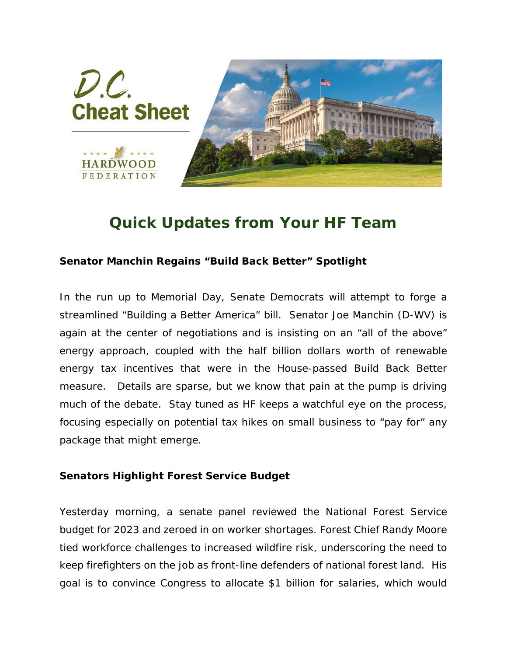

## *Quick Updates from Your HF Team*

## **Senator Manchin Regains "Build Back Better" Spotlight**

In the run up to Memorial Day, Senate Democrats will attempt to forge a streamlined "Building a Better America" bill. Senator Joe Manchin (D-WV) is again at the center of negotiations and is insisting on an "all of the above" energy approach, coupled with the half billion dollars worth of renewable energy tax incentives that were in the House-passed Build Back Better measure. Details are sparse, but we know that pain at the pump is driving much of the debate. Stay tuned as HF keeps a watchful eye on the process, focusing especially on potential tax hikes on small business to "pay for" any package that might emerge.

## **Senators Highlight Forest Service Budget**

Yesterday morning, a senate panel reviewed the National Forest Service budget for 2023 and zeroed in on worker shortages. Forest Chief Randy Moore tied workforce challenges to increased wildfire risk, underscoring the need to keep firefighters on the job as front-line defenders of national forest land. His goal is to convince Congress to allocate \$1 billion for salaries, which would